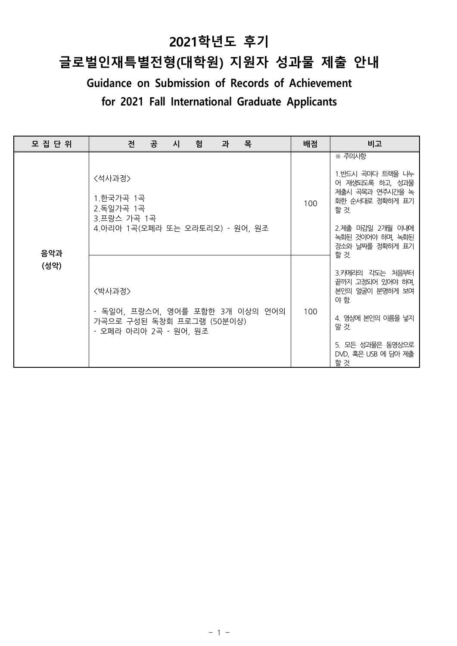# **2021학년도 후기**

# **글로벌인재특별전형(대학원) 지원자 성과물 제출 안내**

**Guidance on Submission of Records of Achievement**

| for 2021 Fall International Graduate Applicants |                                                                                                 |     |                                                                                                                                                        |  |  |
|-------------------------------------------------|-------------------------------------------------------------------------------------------------|-----|--------------------------------------------------------------------------------------------------------------------------------------------------------|--|--|
|                                                 |                                                                                                 |     |                                                                                                                                                        |  |  |
| 모 집 단 위                                         | 공<br>목<br>겐<br>험<br>시<br>과                                                                      | 배점  | 비고                                                                                                                                                     |  |  |
|                                                 | <석사과정><br>1.한국가곡 1곡<br>2.독일가곡 1곡<br>3.프랑스 가곡 1곡<br>4.아리아 1곡(오페라 또는 오라토리오) - 원어, 원조              | 100 | ※ 주의사항<br>1.반드시 곡마다 트랙을 나누<br>어 재생되도록 하고, 성과물<br>제출시 곡목과 연주시간을 녹<br>화한 순서대로 정확하게 표기<br>할 것.<br>2.제출 마감일 2개월 이내에<br>녹화된 것이어야 하며, 녹화된<br>강소와 날짜를 정확하게 표기 |  |  |
| 음악과<br>(성악)                                     | 〈박사과정〉<br>- 독일어, 프랑스어, 영어를 포함한 3개 이상의 언어의<br>가곡으로 구성된 독창회 프로그램 (50분이상)<br>- 오페라 아리아 2곡 - 원어, 원조 | 100 | 할 것.<br>3.카메라의 각도는 처음부터<br>끝까지 고정되어 있어야 하며,<br>본인의 얼굴이 분명하게 보여<br>야 함.<br>4. 영상에 본인의 이름을 넣지<br>말 것.<br>5. 모든 성과물은 동영상으로<br>DVD, 혹은 USB 에 담아 제출<br>할 것  |  |  |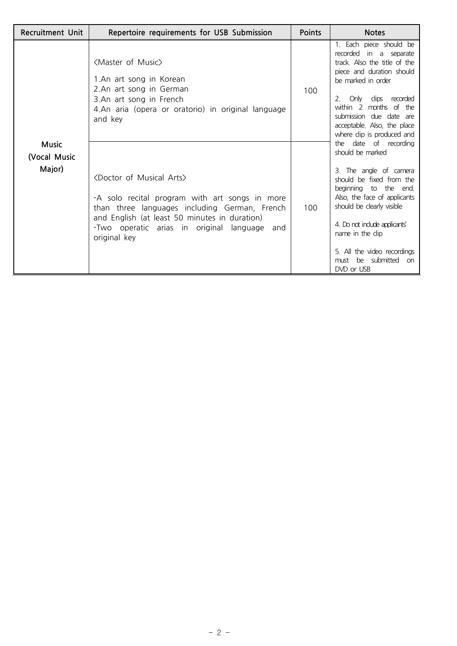| <b>Recruitment Unit</b>                | Repertoire requirements for USB Submission                                                                                                                                                                                                                              | Points | <b>Notes</b>                                                                                                                                                                                                                                                                                                   |
|----------------------------------------|-------------------------------------------------------------------------------------------------------------------------------------------------------------------------------------------------------------------------------------------------------------------------|--------|----------------------------------------------------------------------------------------------------------------------------------------------------------------------------------------------------------------------------------------------------------------------------------------------------------------|
|                                        | <master music="" of=""><br/>1.An art song in Korean<br/>2.An art song in German<br/>3.An art song in French<br/>4.An aria (opera or oratorio) in original language<br/>and key</master>                                                                                 | 100    | 1. Each piece should be<br>recorded in a separate<br>track. Also the title of the<br>piece and duration should<br>be marked in order<br>Only clips recorded<br>2<br>within 2 months of the<br>submission due date are<br>acceptable. Also, the place<br>where clip is produced and                             |
| <b>Music</b><br>(Vocal Music<br>Major) | <doctor arts="" musical="" of=""><br/>-A solo recital program with art songs in more<br/>than three languages including German, French<br/>and English (at least 50 minutes in duration)<br/>-Two operatic arias in original language<br/>and<br/>original key</doctor> | 100    | the date of recording<br>should be marked<br>3. The angle of camera<br>should be fixed from the<br>beginning to the end.<br>Also, the face of applicants<br>should be clearly visible<br>4. Do not indude applicants'<br>name in the clip<br>5. All the video recordings<br>must be submitted on<br>DVD or USB |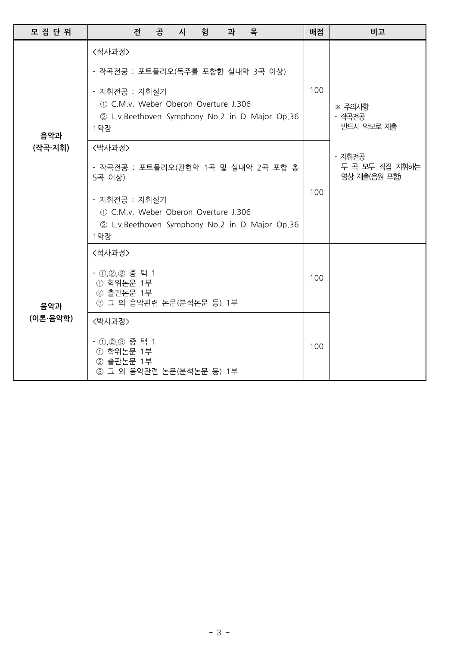| 모 집 단 위         |                                                                                                                                                                                    | 전 | 공 | 시 | 험 | 과 | 목                                              |                                          | 배점  | 비고                             |
|-----------------|------------------------------------------------------------------------------------------------------------------------------------------------------------------------------------|---|---|---|---|---|------------------------------------------------|------------------------------------------|-----|--------------------------------|
| 음악과<br>(작곡·지휘)  | <석사과정><br>- 작곡전공 : 포트폴리오(독주를 포함한 실내악 3곡 이상)<br>- 지휘전공 : 지휘실기<br>1.306 (1) C.M.v. Weber Oberon Overture J.306<br>1악장                                                                |   |   |   |   |   | 2 L.v.Beethoven Symphony No.2 in D Major Op.36 |                                          | 100 | ※ 주의사항<br>- 작곡전공<br>반드시 악보로 제출 |
|                 | <박사과정><br>- 작곡전공 : 포트폴리오(관현악 1곡 및 실내악 2곡 포함 총<br>5곡 이상)<br>- 지휘전공 : 지휘실기<br>1.306 (1) C.M.v. Weber Oberon Overture J.306<br>2 L.v. Beethoven Symphony No.2 in D Major Op.36<br>1악장 |   |   |   |   |   | 100                                            | - 지휘전공<br>두 곡 모두 직접 지휘하는<br>영상 제출(음원 포함) |     |                                |
| 음악과<br>(이론·음악학) | <석사과정><br>- 1,2,3 중 택 1<br>① 학위논문 1부<br>2 출판논문 1부<br>3 그 외 음악관련 논문(분석논문 등) 1부                                                                                                      |   |   |   |   |   |                                                |                                          | 100 |                                |
|                 | <박사과정>                                                                                                                                                                             |   |   |   |   |   |                                                |                                          |     |                                |
|                 | - ①,②,③ 중 택 1<br>① 학위논문 1부<br>② 출판논문 1부<br>3 그 외 음악관련 논문(분석논문 등) 1부                                                                                                                |   |   |   |   |   |                                                |                                          | 100 |                                |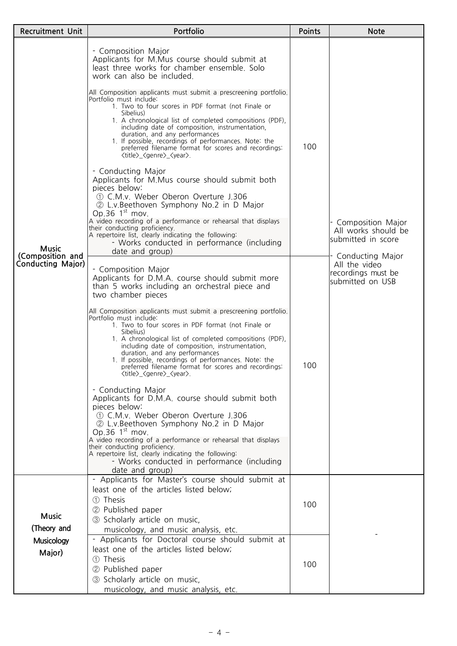| Recruitment Unit                             | Portfolio                                                                                                                                                                                                                                                                                                                                                                                                                                                                                                                                                                                                                                                                                                                                                                                                                                                                                                                                                                                                                                                                                         | Points                                                           | <b>Note</b>                                                                 |  |
|----------------------------------------------|---------------------------------------------------------------------------------------------------------------------------------------------------------------------------------------------------------------------------------------------------------------------------------------------------------------------------------------------------------------------------------------------------------------------------------------------------------------------------------------------------------------------------------------------------------------------------------------------------------------------------------------------------------------------------------------------------------------------------------------------------------------------------------------------------------------------------------------------------------------------------------------------------------------------------------------------------------------------------------------------------------------------------------------------------------------------------------------------------|------------------------------------------------------------------|-----------------------------------------------------------------------------|--|
|                                              | - Composition Major<br>Applicants for M.Mus course should submit at<br>least three works for chamber ensemble. Solo<br>work can also be included.<br>All Composition applicants must submit a prescreening portfolio.<br>Portfolio must include:<br>1. Two to four scores in PDF format (not Finale or<br>Sibelius)<br>1. A chronological list of completed compositions (PDF),<br>including date of composition, instrumentation,<br>duration, and any performances<br>1. If possible, recordings of performances. Note: the<br>preferred filename format for scores and recordings:<br><title>_<genre>_<year>.<br/>- Conducting Major<br/>Applicants for M.Mus course should submit both<br/>pieces below:<br/>1. C.M.v. Weber Oberon Overture J.306<br/>2 L.v. Beethoven Symphony No.2 in D Major</year></genre></title>                                                                                                                                                                                                                                                                       | 100                                                              |                                                                             |  |
| <b>Music</b>                                 | Op.36 $1st$ mov.<br>A video recording of a performance or rehearsal that displays<br>their conducting proficiency.<br>A repertoire list, clearly indicating the following:<br>- Works conducted in performance (including<br>date and group)                                                                                                                                                                                                                                                                                                                                                                                                                                                                                                                                                                                                                                                                                                                                                                                                                                                      | - Composition Major<br>All works should be<br>submitted in score |                                                                             |  |
| (Composition and<br><b>Conducting Major)</b> | - Composition Major<br>Applicants for D.M.A. course should submit more<br>than 5 works including an orchestral piece and<br>two chamber pieces<br>All Composition applicants must submit a prescreening portfolio.<br>Portfolio must include:<br>1. Two to four scores in PDF format (not Finale or<br>Sibelius)<br>1. A chronological list of completed compositions (PDF),<br>including date of composition, instrumentation,<br>duration, and any performances<br>1. If possible, recordings of performances. Note: the<br>preferred filename format for scores and recordings:<br><title>_<genre>_<year>.<br/>- Conducting Major<br/>Applicants for D.M.A. course should submit both<br/>pieces below:<br/>1.306 (1) C.M.v. Weber Oberon Overture J.306<br/>2 L.v. Beethoven Symphony No.2 in D Major<br/>Op.36 <math>1st</math> mov.<br/>A video recording of a performance or rehearsal that displays<br/>their conducting proficiency.<br/>A repertoire list, clearly indicating the following:<br/>- Works conducted in performance (including<br/>date and group)</year></genre></title> | 100                                                              | Conducting Major<br>All the video<br>recordings must be<br>submitted on USB |  |
| <b>Music</b><br>(Theory and                  | - Applicants for Master's course should submit at<br>least one of the articles listed below;<br>1 Thesis<br>2 Published paper<br>3 Scholarly article on music,<br>musicology, and music analysis, etc.                                                                                                                                                                                                                                                                                                                                                                                                                                                                                                                                                                                                                                                                                                                                                                                                                                                                                            | 100                                                              |                                                                             |  |
| <b>Musicology</b><br>Major)                  | - Applicants for Doctoral course should submit at<br>least one of the articles listed below;<br>1 Thesis<br>2 Published paper<br>3 Scholarly article on music,<br>musicology, and music analysis, etc.                                                                                                                                                                                                                                                                                                                                                                                                                                                                                                                                                                                                                                                                                                                                                                                                                                                                                            | 100                                                              |                                                                             |  |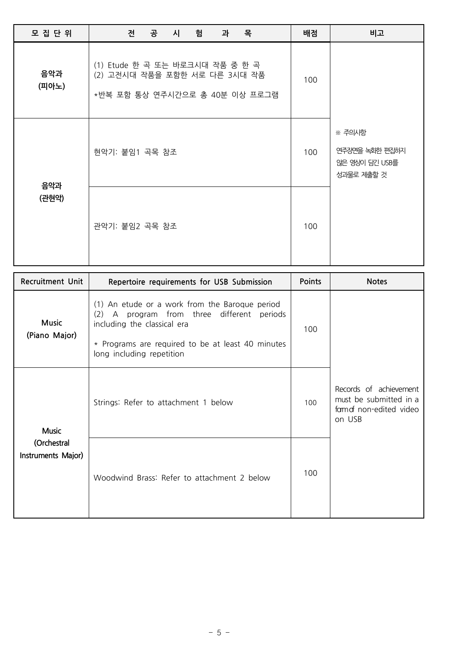| 모 집 단 위      | 공 시<br>목<br>겐<br>험<br>과                                                                            | 배점  | 비고                                                       |  |  |  |  |
|--------------|----------------------------------------------------------------------------------------------------|-----|----------------------------------------------------------|--|--|--|--|
| 음악과<br>(피아노) | (1) Etude 한 곡 또는 바로크시대 작품 중 한 곡<br>(2) 고전시대 작품을 포함한 서로 다른 3시대 작품<br>*반복 포함 통상 연주시간으로 총 40분 이상 프로그램 | 100 |                                                          |  |  |  |  |
| 음악과<br>(관현악) | 현악기: 붙임1 곡목 참조                                                                                     | 100 | ※ 주의사항<br>연주장면을 녹화한 편집하지<br>않은 영상이 담긴 USB를<br>성과물로 제출할 것 |  |  |  |  |
|              | 관악기: 붙임2 곡목 참조                                                                                     | 100 |                                                          |  |  |  |  |

| <b>Recruitment Unit</b>                           | Repertoire requirements for USB Submission                                                                                                                                                                       | Points | <b>Notes</b>                                                                         |
|---------------------------------------------------|------------------------------------------------------------------------------------------------------------------------------------------------------------------------------------------------------------------|--------|--------------------------------------------------------------------------------------|
| <b>Music</b><br>(Piano Major)                     | (1) An etude or a work from the Baroque period<br>A program from three different periods<br>(2)<br>including the classical era<br>* Programs are required to be at least 40 minutes<br>long including repetition | 100    |                                                                                      |
| <b>Music</b><br>(Orchestral<br>Instruments Major) | Strings: Refer to attachment 1 below                                                                                                                                                                             | 100    | Records of achievement<br>must be submitted in a<br>famat non-edited video<br>on USB |
|                                                   | Woodwind Brass: Refer to attachment 2 below                                                                                                                                                                      | 100    |                                                                                      |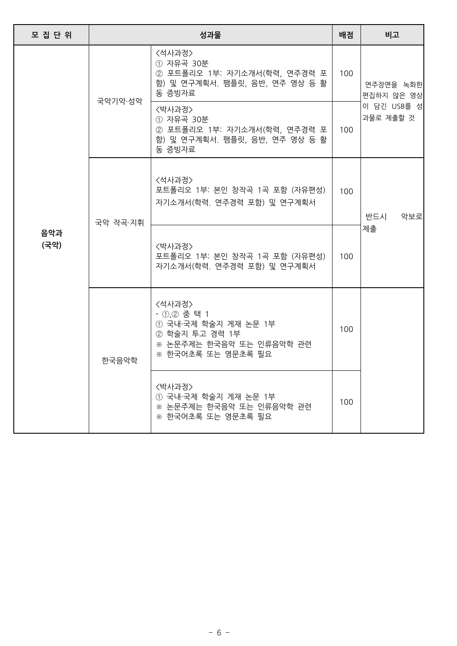| 모 집 단 위     |          | 성과물                                                                                                               | 배점  | 비고                                                  |  |
|-------------|----------|-------------------------------------------------------------------------------------------------------------------|-----|-----------------------------------------------------|--|
|             | 국악기악·성악  | <석사과정><br>① 자유곡 30분<br>② 포트폴리오 1부: 자기소개서(학력, 연주경력 포<br>함) 및 연구계획서. 팸플릿, 음반, 연주 영상 등 활<br>동 증빙자료                   | 100 | 연주장면을 녹화한<br>편집하지 않은 영상<br>이 담긴 USB를 성<br>과물로 제출할 것 |  |
| 음악과<br>(국악) |          | 〈박사과정〉<br>① 자유곡 30분<br>② 포트폴리오 1부: 자기소개서(학력, 연주경력 포<br>함) 및 연구계획서. 팸플릿, 음반, 연주 영상 등 활<br>동 증빙자료                   | 100 |                                                     |  |
|             | 국악 작곡·지휘 | <석사과정><br>포트폴리오 1부: 본인 창작곡 1곡 포함 (자유편성)<br>자기소개서(학력. 연주경력 포함) 및 연구계획서                                             | 100 | 반드시<br>악보로                                          |  |
|             |          | 〈박사과정〉<br>포트폴리오 1부: 본인 창작곡 1곡 포함 (자유편성)<br>자기소개서(학력. 연주경력 포함) 및 연구계획서                                             | 100 | 제출                                                  |  |
|             | 한국음악학    | <석사과정><br>- 1,2 중 택 1<br>① 국내·국제 학술지 게재 논문 1부<br>② 학술지 투고 경력 1부<br>※ 논문주제는 한국음악 또는 인류음악학 관련<br>※ 한국어초록 또는 영문초록 필요 | 100 |                                                     |  |
|             |          | 〈박사과정〉<br>① 국내·국제 학술지 게재 논문 1부<br>※ 논문주제는 한국음악 또는 인류음악학 관련<br>※ 한국어초록 또는 영문초록 필요                                  | 100 |                                                     |  |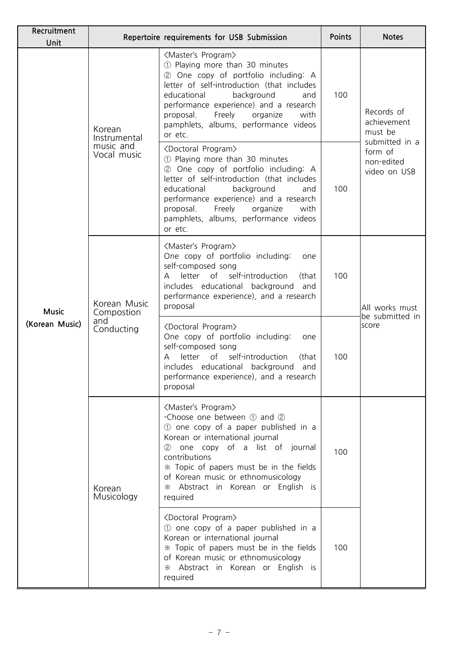| Recruitment<br>Unit            |                                                    | Repertoire requirements for USB Submission                                                                                                                                                                                                                                                                                                                                                                                                                          | Points | <b>Notes</b>                                                                                    |
|--------------------------------|----------------------------------------------------|---------------------------------------------------------------------------------------------------------------------------------------------------------------------------------------------------------------------------------------------------------------------------------------------------------------------------------------------------------------------------------------------------------------------------------------------------------------------|--------|-------------------------------------------------------------------------------------------------|
|                                | Korean<br>Instrumental<br>music and<br>Vocal music | <master's program=""><br/>1 Playing more than 30 minutes<br/>2 One copy of portfolio including: A<br/>letter of self-introduction (that includes<br/>educational<br/>background<br/>and<br/>performance experience) and a research<br/>Freely<br/>organize<br/>proposal.<br/>with<br/>pamphlets, albums, performance videos<br/>or etc.<br/><doctoral program=""><br/>1 Playing more than 30 minutes<br/>2 One copy of portfolio including: A</doctoral></master's> | 100    | Records of<br>achievement<br>must be<br>submitted in a<br>form of<br>non-edited<br>video on USB |
|                                |                                                    | letter of self-introduction (that includes<br>educational<br>background<br>and<br>performance experience) and a research<br>Freely<br>organize<br>with<br>proposal.<br>pamphlets, albums, performance videos<br>or etc.                                                                                                                                                                                                                                             | 100    |                                                                                                 |
| <b>Music</b><br>(Korean Music) | Korean Music<br>Compostion<br>and<br>Conducting    | <master's program=""><br/>One copy of portfolio including:<br/>one<br/>self-composed song<br/>letter of self-introduction<br/>(that<br/>A<br/>includes educational background and<br/>performance experience), and a research<br/>proposal</master's>                                                                                                                                                                                                               | 100    | All works must                                                                                  |
|                                |                                                    | <doctoral program=""><br/>One copy of portfolio including:<br/>one<br/>self-composed song<br/>self-introduction<br/>of<br/>letter<br/>(that<br/>includes educational background and<br/>performance experience), and a research<br/>proposal</doctoral>                                                                                                                                                                                                             | 100    | be submitted in<br>score                                                                        |
|                                | Korean<br>Musicology                               | <master's program=""><br/>-Choose one between 1 and 2<br/>1) one copy of a paper published in a<br/>Korean or international journal<br/>one copy of a list of journal<br/>(2)<br/>contributions<br/>* Topic of papers must be in the fields<br/>of Korean music or ethnomusicology<br/>* Abstract in Korean or English is<br/>required</master's>                                                                                                                   | 100    |                                                                                                 |
|                                |                                                    | <doctoral program=""><br/>1) one copy of a paper published in a<br/>Korean or international journal<br/>* Topic of papers must be in the fields<br/>of Korean music or ethnomusicology<br/>* Abstract in Korean or English is<br/>required</doctoral>                                                                                                                                                                                                               | 100    |                                                                                                 |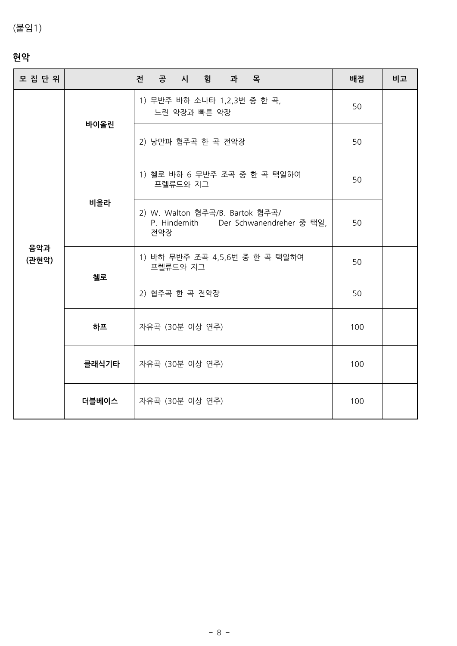# (붙임1)

# **현악**

| 현악           |       |                                                                                 |     |    |
|--------------|-------|---------------------------------------------------------------------------------|-----|----|
| 모 집 단 위      |       | 전 공 시 험 과 목                                                                     | 배점  | 비고 |
| 음악과<br>(관현악) | 바이올린  | 1) 무반주 바하 소나타 1,2,3번 중 한 곡,<br>느린 악장과 빠른 악장                                     | 50  |    |
|              |       | 2) 낭만파 협주곡 한 곡 전악장                                                              | 50  |    |
|              |       | 1) 첼로 바하 6 무반주 조곡 중 한 곡 택일하여<br>프렐류드와 지그                                        | 50  |    |
|              | 비올라   | 2) W. Walton 협주곡/B. Bartok 협주곡/<br>P. Hindemith Der Schwanendreher 중 택일,<br>전악장 | 50  |    |
|              | 첼로    | 1) 바하 무반주 조곡 4,5,6번 중 한 곡 택일하여<br>프렐류드와 지그                                      | 50  |    |
|              |       | 2) 협주곡 한 곡 전악장                                                                  | 50  |    |
|              | 하프    | 자유곡 (30분 이상 연주)                                                                 | 100 |    |
|              | 클래식기타 | 자유곡 (30분 이상 연주)                                                                 | 100 |    |
|              | 더블베이스 | 자유곡 (30분 이상 연주)                                                                 | 100 |    |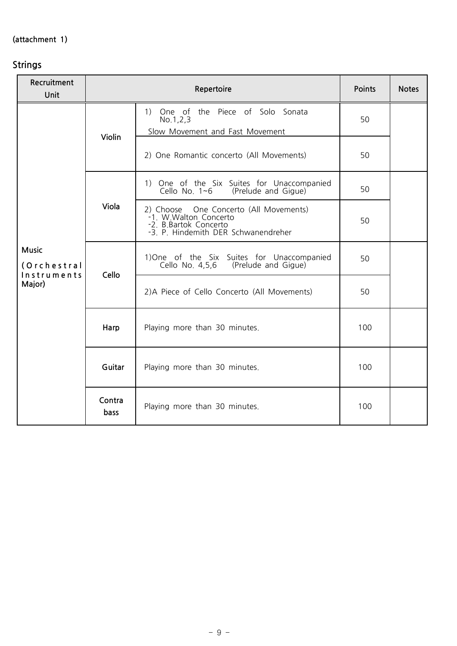# **(attachment 1) Strings**

| Recruitment<br>Unit                                  |                | Repertoire                                                                                                                       |     |  |  |  |
|------------------------------------------------------|----------------|----------------------------------------------------------------------------------------------------------------------------------|-----|--|--|--|
|                                                      | Violin         | 1) One of the Piece of Solo Sonata<br>No.1, 2, 3<br>Slow Movement and Fast Movement                                              | 50  |  |  |  |
|                                                      |                | 2) One Romantic concerto (All Movements)                                                                                         | 50  |  |  |  |
|                                                      |                | 1) One of the Six Suites for Unaccompanied<br>Cello No. 1~6 (Prelude and Gigue)                                                  | 50  |  |  |  |
| <b>Music</b><br>(Orchestral<br>Instruments<br>Major) | Viola          | 2) Choose One Concerto (All Movements)<br>-1. W. Walton Concerto<br>-2. B.Bartok Concerto<br>-3. P. Hindemith DER Schwanendreher | 50  |  |  |  |
|                                                      | Cello          | 1) One of the Six Suites for Unaccompanied<br>Cello No. 4,5,6 (Prelude and Gigue)                                                | 50  |  |  |  |
|                                                      |                | 2) A Piece of Cello Concerto (All Movements)                                                                                     | 50  |  |  |  |
|                                                      | Harp           | Playing more than 30 minutes.                                                                                                    | 100 |  |  |  |
|                                                      | Guitar         | Playing more than 30 minutes.                                                                                                    | 100 |  |  |  |
|                                                      | Contra<br>bass | Playing more than 30 minutes.                                                                                                    | 100 |  |  |  |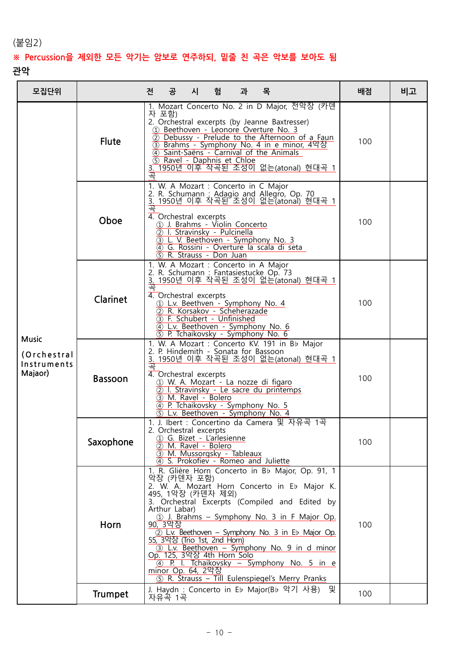# (붙임2) **※ Percussion을 제외한 모든 악기는 암보로 연주하되, 밑줄 친 곡은 악보를 보아도 <sup>됨</sup>**

## **관악**

| 모집단위                                                  |                | 과 목<br>공<br>시<br>전<br>험                                                                                                                                                                                                                                                                                                                                                                                                                                                                                            | 배점  | 비고 |
|-------------------------------------------------------|----------------|--------------------------------------------------------------------------------------------------------------------------------------------------------------------------------------------------------------------------------------------------------------------------------------------------------------------------------------------------------------------------------------------------------------------------------------------------------------------------------------------------------------------|-----|----|
|                                                       | <b>Flute</b>   | 1. Mozart Concerto No. 2 in D Major, 전악장 (카덴<br>자 포함)<br>2. Orchestral excerpts (by Jeanne Baxtresser)<br>1 Beethoven - Leonoré Overture No. 3<br>2 Debussy - Prelude to the Afternoon of a Faun<br>3 Brahms - Symphony No. 4 in e minor, 4악장<br>4 Saint-Saëns - Carnival of the Animals<br>5 Ravel - Daphnis et Chloe<br>3. 1950년 이후 작곡된 조성이 없는(atonal) 현대곡 1<br>큨                                                                                                                                                | 100 |    |
|                                                       | Oboe           | 1. W. A Mozart : Concerto in C Major<br>2. R. Schumann: Adagio and Allegro, Op. 70<br>3. 1950년 이후 착곡된 조성이 없는(atonal) 현대곡 1<br>곡<br>4. Orchestral excerpts<br>1 J. Brahms - Violin Concerto<br>2 I. Stravinsky - Pulcinella<br>3 L. V. Beethoven - Symphony No. 3<br>4 G. Rossini - Overture la scala di seta<br>5) R. Strauss - Don Juan                                                                                                                                                                           | 100 |    |
| <b>Music</b><br>(Orchestral<br>Instruments<br>Majaor) | Clarinet       | 1. W. A Mozart : Concerto in A Major<br>2. R. Schumann : Fantasiestucke Op. 73<br>3. 1950년 이후 작곡된 조성이 없는(atonal) 현대곡 1<br>軎<br>4. Orchestral excerpts<br>1 L.v. Beethven - Symphony No. 4<br>2 R. Korsakov - Scheherazade<br>3 F. Schubert - Unfinished<br>4 L.v. Beethoven - Symphony No. 6<br>5 P. Tchaikovsky - Symphony No. 6                                                                                                                                                                                  | 100 |    |
|                                                       | <b>Bassoon</b> | 1. W. A Mozart: Concerto KV. 191 in Bb Major<br>2. P. Hindemith - Sonata for Bassoon<br>3. 1950년 이후 작곡된 조성이 없는(atonal) 현대곡 1<br><u>곡</u><br>4. Orchestral excerpts<br>1 W. A. Mozart - La nozze di figaro<br>2 I. Stravinsky - Le sacre du printemps<br>3) M. Ravel - Bolero<br>4 P. Tchaikovsky - Symphony No. 5<br>5 L.v. Beethoven - Symphony No. 4                                                                                                                                                             | 100 |    |
|                                                       | Saxophone      | 1. J. Ibert : Concertino da Camera 및 자유곡 1곡<br>2. Orchestral excerpts<br>1 G. Bizet - L'arlesienne<br>2 M. Ravel - Bolero<br>3 M. Mussorgsky - Tableaux<br>4 S. Prokofiev - Romeo and Juliette                                                                                                                                                                                                                                                                                                                     | 100 |    |
|                                                       | Horn           | 1. R. Glière Horn Concerto in Bb Major, Op. 91, 1<br>악장 (카덴자 포함)<br>2. W. A. Mozart Horn Concerto in Eb Major K.<br>495, 1악장 (카덴자 제외)<br>3. Orchestral Excerpts (Compiled and Edited by<br>Arthur Labar)<br>(1) J. Brahms - Symphony No. 3 in F Major Op.<br>90, 3악장<br>2) L.v. Beethoven – Symphony No. 3 in Eb Major Op.<br>55, 3악장 (Trio 1st, 2nd Horn)<br>3) L.v. Beethoven - Symphony No. 9 in d minor<br>Op. 125, 3악장 4th Horn Solo<br><u>4 P. I. Tchaikovsky – Symphony No. 5 in e</u><br>minor Op. 64, 2악장 | 100 |    |
|                                                       | <b>Trumpet</b> | (5) R. Strauss - Till Eulenspiegel's Merry Pranks<br>J. Haydn : Concerto in Eb Major(Bb 악기 사용)<br>및<br>자유곡 1곡                                                                                                                                                                                                                                                                                                                                                                                                      | 100 |    |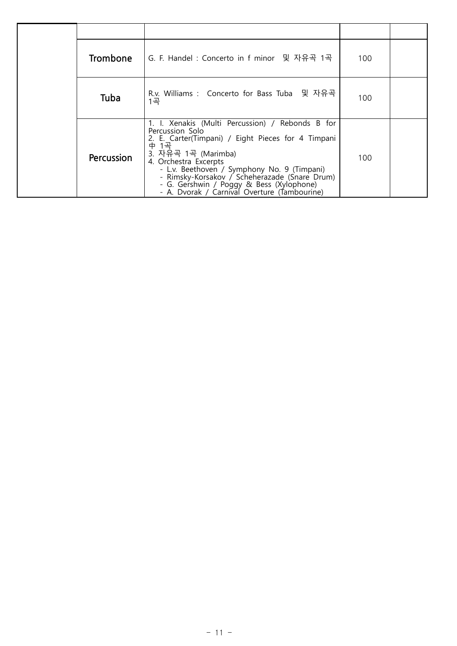| <b>Trombone</b> | G. F. Handel: Concerto in f minor 및 자유곡 1곡                                                                                                                                                                                                                                                                                                                                                    | 100 |  |
|-----------------|-----------------------------------------------------------------------------------------------------------------------------------------------------------------------------------------------------------------------------------------------------------------------------------------------------------------------------------------------------------------------------------------------|-----|--|
| Tuba            | R.v. Williams : Concerto for Bass Tuba 및 자유곡<br>1곡                                                                                                                                                                                                                                                                                                                                            | 100 |  |
| Percussion      | 1. I. Xenakis (Multi Percussion) / Rebonds B for<br>Percussion Solo<br>2. E. Carter(Timpani) / Eight Pieces for 4 Timpani<br>$\overline{P}$<br>1곡<br>3. 자유곡 1곡 (Marimba)<br>4. Orchestra Excerpts<br>- L.v. Beethoven / Symphony No. 9 (Timpani)<br>- Rimsky-Korsakov / Scheherazade (Snare Drum)<br>- G. Gershwin / Poggy & Bess (Xylophone)<br>- A. Dvorak / Carnival Overture (Tambourine) | 100 |  |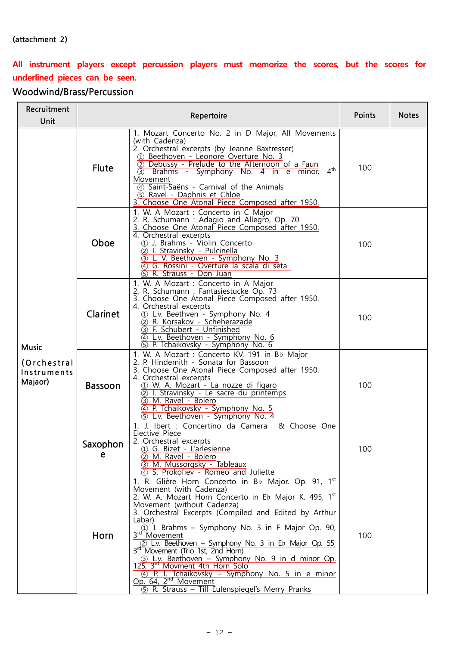### **(attachment 2)**

# **All instrument players except percussion players must memorize the scores, but the scores for underlined pieces can be seen.**

# **Woodwind/Brass/Percussion**

| Recruitment<br>Unit                                   | Repertoire     |                                                                                                                                                                                                                                                                                                                                                                                                                                                                                                                                                                                                                                                                           |     | <b>Notes</b> |
|-------------------------------------------------------|----------------|---------------------------------------------------------------------------------------------------------------------------------------------------------------------------------------------------------------------------------------------------------------------------------------------------------------------------------------------------------------------------------------------------------------------------------------------------------------------------------------------------------------------------------------------------------------------------------------------------------------------------------------------------------------------------|-----|--------------|
| <b>Music</b><br>(Orchestral<br>Instruments<br>Majaor) | <b>Flute</b>   | 1. Mozart Concerto No. 2 in D Major, All Movements<br>(with Cadenza)<br>2. Orchestral excerpts (by Jeanne Baxtresser)<br>1 Beethoven - Leonoré Overture No. 3<br>2 Debussy - Prelude to the Afternoon of a Faun<br>$4^{\text{th}}$<br>3 Brahms - Symphony No. 4 in e minor,<br>Movement<br>4 Saint-Saëns - Carnival of the Animals<br>5 Ravel - Daphnis et Chloe<br>3. Choose One Atonal Piece Composed after 1950.                                                                                                                                                                                                                                                       | 100 |              |
|                                                       | Oboe           | 1. W. A Mozart : Concerto in C Major<br>2. R. Schumann: Adagio and Allegro, Op. 70<br>3. Choose One Atonal Piece Composed after 1950.<br>4. Orchestral excerpts<br>1 J. Brahms - Violin Concerto<br>2 I. Stravinsky - Pulcinella<br>3 L. V. Beethoven - Symphony No. 3<br>4 G. Rossini - Overture la scala di seta<br>5) R. Strauss - Don Juan                                                                                                                                                                                                                                                                                                                            | 100 |              |
|                                                       | Clarinet       | 1. W. A Mozart : Concerto in A Major<br>2. R. Schumann: Fantasiestucke Op. 73<br>3. Choose One Atonal Piece Composed after 1950.<br>4. Orchestral excerpts<br>1 L.v. Beethven - Symphony No. 4<br>2 R. Korsakov - Scheherazade<br>3 F. Schubert - Unfinished<br>4 L.v. Beethoven - Symphony No. 6<br>5 P. Tchaikovsky - Symphony No. 6                                                                                                                                                                                                                                                                                                                                    | 100 |              |
|                                                       | <b>Bassoon</b> | 1. W. A Mozart: Concerto KV. 191 in Bb Major<br>2. P. Hindemith - Sonata for Bassoon<br>3. Choose One Atonal Piece Composed after 1950.<br>4. Orchestral excerpts<br>1 W. A. Mozart - La nozze di figaro<br>2 I. Stravinsky - Le sacre du printemps<br>3 M. Ravel - Bolero<br>4 P. Tchaikovsky - Symphony No. 5<br>$\overline{5}$ L.v. Beethoven - Symphony No. 4                                                                                                                                                                                                                                                                                                         | 100 |              |
|                                                       | Saxophon<br>e  | 1. J. Ibert : Concertino da Camera & Choose One<br>Elective Piece<br>2. Orchestral excerpts<br>1 G. Bizet - L'arlesienne<br>2 M. Ravel - Bolero<br>3 M. Mussorgsky - Tableaux<br>4 S. Prokofiev - Romeo and Juliette                                                                                                                                                                                                                                                                                                                                                                                                                                                      | 100 |              |
|                                                       | Horn           | 1. R. Glière Horn Concerto in Bb Major, Op. 91, 1st<br>Movement (with Cadenza)<br>2. W. A. Mozart Horn Concerto in Eb Major K. 495, $1^{st}$<br>Movement (without Cadenza)<br>3. Orchestral Excerpts (Compiled and Edited by Arthur<br>Labar)<br>1 J. Brahms – Symphony No. 3 in F Major Op. 90,<br>3 <sup>rd</sup> Movement<br>2 L.v. Beethoven - Symphony No. 3 in Eb Major Op. 55,<br>3rd Movement (Trio 1st, 2nd Horn)<br>3) L.v. Beethoven - Symphony No. 9 in d minor Op.<br>125, 3 <sup>rd</sup> Movment 4th Horn Solo<br>4 P. I. Tchaikovsky – Symphony No. 5 in e minor<br>Op. 64, 2 <sup>nd</sup> Movement<br>(5) R. Strauss - Till Eulenspiegel's Merry Pranks | 100 |              |